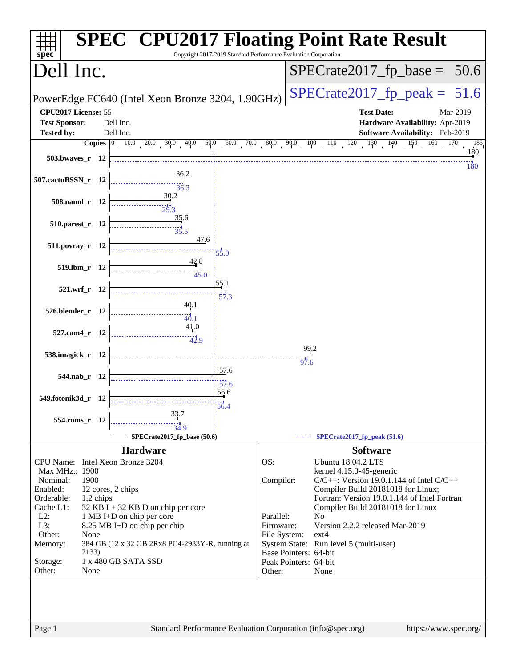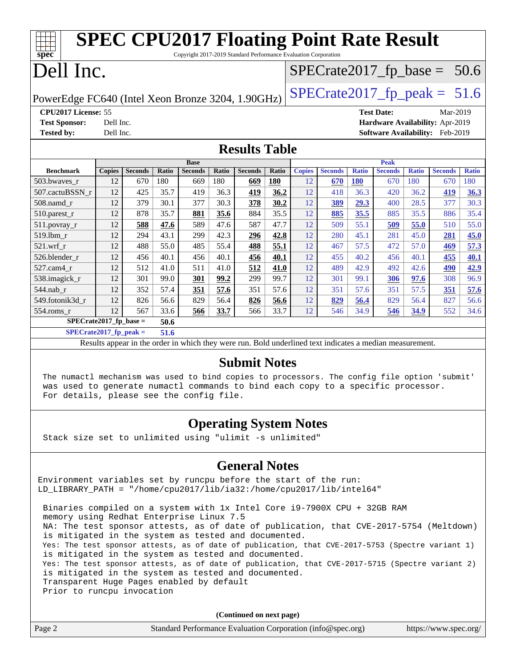|                                                                                                                        |                                   | <b>SPEC CPU2017 Floating Point Rate Result</b> |              |                |              |                |       |               |                |              |                |              |                                        |              |
|------------------------------------------------------------------------------------------------------------------------|-----------------------------------|------------------------------------------------|--------------|----------------|--------------|----------------|-------|---------------|----------------|--------------|----------------|--------------|----------------------------------------|--------------|
| Copyright 2017-2019 Standard Performance Evaluation Corporation<br>spec<br>Dell Inc.<br>$SPECrate2017_fp\_base = 50.6$ |                                   |                                                |              |                |              |                |       |               |                |              |                |              |                                        |              |
| $SPECrate2017_fp\_peak = 51.6$<br>PowerEdge FC640 (Intel Xeon Bronze 3204, 1.90GHz)                                    |                                   |                                                |              |                |              |                |       |               |                |              |                |              |                                        |              |
| CPU2017 License: 55<br><b>Test Date:</b><br>Mar-2019                                                                   |                                   |                                                |              |                |              |                |       |               |                |              |                |              |                                        |              |
| <b>Test Sponsor:</b>                                                                                                   | Dell Inc.                         |                                                |              |                |              |                |       |               |                |              |                |              | Hardware Availability: Apr-2019        |              |
| <b>Tested by:</b>                                                                                                      | Dell Inc.                         |                                                |              |                |              |                |       |               |                |              |                |              | <b>Software Availability:</b> Feb-2019 |              |
| <b>Results Table</b>                                                                                                   |                                   |                                                |              |                |              |                |       |               |                |              |                |              |                                        |              |
|                                                                                                                        | <b>Base</b><br><b>Peak</b>        |                                                |              |                |              |                |       |               |                |              |                |              |                                        |              |
| <b>Benchmark</b>                                                                                                       | <b>Copies</b>                     | <b>Seconds</b>                                 | <b>Ratio</b> | <b>Seconds</b> | <b>Ratio</b> | <b>Seconds</b> | Ratio | <b>Copies</b> | <b>Seconds</b> | <b>Ratio</b> | <b>Seconds</b> | <b>Ratio</b> | <b>Seconds</b>                         | <b>Ratio</b> |
| 503.bwaves_r                                                                                                           | 12                                | 670                                            | 180          | 669            | 180          | 669            | 180   | 12            | 670            | 180          | 670            | 180          | 670                                    | 180          |
| 507.cactuBSSN_r                                                                                                        | 12                                | 425                                            | 35.7         | 419            | 36.3         | 419            | 36.2  | 12            | 418            | 36.3         | 420            | 36.2         | 419                                    | 36.3         |
| 508.namd r                                                                                                             | 12                                | 379                                            | 30.1         | 377            | 30.3         | 378            | 30.2  | 12            | 389            | 29.3         | 400            | 28.5         | 377                                    | 30.3         |
| 510.parest_r                                                                                                           | 12                                | 878                                            | 35.7         | 881            | 35.6         | 884            | 35.5  | 12            | 885            | 35.5         | 885            | 35.5         | 886                                    | 35.4         |
| $511.$ povray_r                                                                                                        | 12                                | 588                                            | 47.6         | 589            | 47.6         | 587            | 47.7  | 12            | 509            | 55.1         | 509            | 55.0         | 510                                    | 55.0         |
| 519.lbm r                                                                                                              | 12                                | 294                                            | 43.1         | 299            | 42.3         | 296            | 42.8  | 12            | 280            | 45.1         | 281            | 45.0         | 281                                    | 45.0         |
| $521$ .wrf r                                                                                                           | 12                                | 488                                            | 55.0         | 485            | 55.4         | 488            | 55.1  | 12            | 467            | 57.5         | 472            | 57.0         | 469                                    | 57.3         |
| 526.blender r                                                                                                          | 12                                | 456                                            | 40.1         | 456            | 40.1         | 456            | 40.1  | 12            | 455            | 40.2         | 456            | 40.1         | 455                                    | 40.1         |
| 527.cam4 r                                                                                                             | 12                                | 512                                            | 41.0         | 511            | 41.0         | 512            | 41.0  | 12            | 489            | 42.9         | 492            | 42.6         | 490                                    | 42.9         |
| 538.imagick_r                                                                                                          | 12                                | 301                                            | 99.0         | 301            | 99.2         | 299            | 99.7  | 12            | 301            | 99.1         | 306            | 97.6         | 308                                    | 96.9         |
| 544.nab r                                                                                                              | 12                                | 352                                            | 57.4         | 351            | 57.6         | 351            | 57.6  | 12            | 351            | 57.6         | 351            | 57.5         | 351                                    | 57.6         |
| 549.fotonik3d r                                                                                                        | 12                                | 826                                            | 56.6         | 829            | 56.4         | 826            | 56.6  | 12            | 829            | 56.4         | 829            | 56.4         | 827                                    | 56.6         |
| $554$ .roms $r$                                                                                                        | 12                                | 567                                            | 33.6         | 566            | 33.7         | 566            | 33.7  | 12            | 546            | 34.9         | 546            | 34.9         | 552                                    | 34.6         |
|                                                                                                                        | $SPECrate2017_fp\_base =$<br>50.6 |                                                |              |                |              |                |       |               |                |              |                |              |                                        |              |
| $SPECrate2017_fp_peak =$<br>51.6                                                                                       |                                   |                                                |              |                |              |                |       |               |                |              |                |              |                                        |              |
| Results appear in the order in which they were run. Bold underlined text indicates a median measurement.               |                                   |                                                |              |                |              |                |       |               |                |              |                |              |                                        |              |

#### **[Submit Notes](http://www.spec.org/auto/cpu2017/Docs/result-fields.html#SubmitNotes)**

 The numactl mechanism was used to bind copies to processors. The config file option 'submit' was used to generate numactl commands to bind each copy to a specific processor. For details, please see the config file.

## **[Operating System Notes](http://www.spec.org/auto/cpu2017/Docs/result-fields.html#OperatingSystemNotes)**

Stack size set to unlimited using "ulimit -s unlimited"

### **[General Notes](http://www.spec.org/auto/cpu2017/Docs/result-fields.html#GeneralNotes)**

Environment variables set by runcpu before the start of the run: LD\_LIBRARY\_PATH = "/home/cpu2017/lib/ia32:/home/cpu2017/lib/intel64"

 Binaries compiled on a system with 1x Intel Core i9-7900X CPU + 32GB RAM memory using Redhat Enterprise Linux 7.5 NA: The test sponsor attests, as of date of publication, that CVE-2017-5754 (Meltdown) is mitigated in the system as tested and documented. Yes: The test sponsor attests, as of date of publication, that CVE-2017-5753 (Spectre variant 1) is mitigated in the system as tested and documented. Yes: The test sponsor attests, as of date of publication, that CVE-2017-5715 (Spectre variant 2) is mitigated in the system as tested and documented. Transparent Huge Pages enabled by default Prior to runcpu invocation

|        | (Continued on next page)                                    |                       |
|--------|-------------------------------------------------------------|-----------------------|
| Page 2 | Standard Performance Evaluation Corporation (info@spec.org) | https://www.spec.org/ |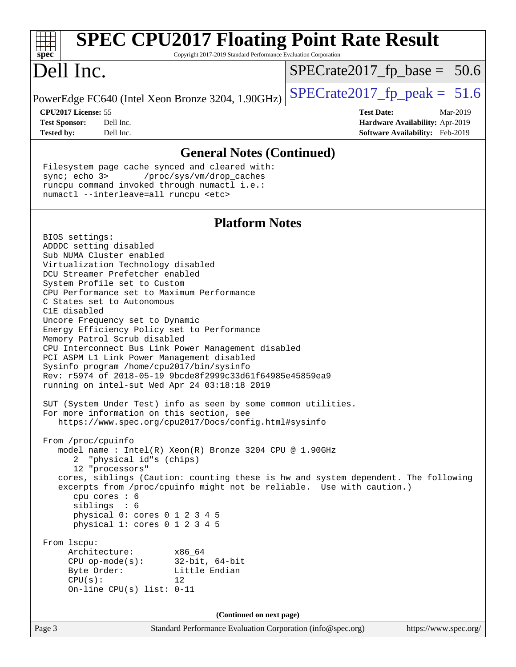| <b>SPEC CPU2017 Floating Point Rate Result</b><br>$spec^*$<br>Copyright 2017-2019 Standard Performance Evaluation Corporation                                                                                                                                                                                                                                                                                                                                                                                                                                                                                                                                                                                                                                                                                                                                                                                                                                                                                                                                                                                                                                                                                                                                                                                                                                        |                                                                                                     |
|----------------------------------------------------------------------------------------------------------------------------------------------------------------------------------------------------------------------------------------------------------------------------------------------------------------------------------------------------------------------------------------------------------------------------------------------------------------------------------------------------------------------------------------------------------------------------------------------------------------------------------------------------------------------------------------------------------------------------------------------------------------------------------------------------------------------------------------------------------------------------------------------------------------------------------------------------------------------------------------------------------------------------------------------------------------------------------------------------------------------------------------------------------------------------------------------------------------------------------------------------------------------------------------------------------------------------------------------------------------------|-----------------------------------------------------------------------------------------------------|
| Dell Inc.                                                                                                                                                                                                                                                                                                                                                                                                                                                                                                                                                                                                                                                                                                                                                                                                                                                                                                                                                                                                                                                                                                                                                                                                                                                                                                                                                            | $SPECrate2017_fp\_base = 50.6$                                                                      |
| PowerEdge FC640 (Intel Xeon Bronze 3204, 1.90GHz)                                                                                                                                                                                                                                                                                                                                                                                                                                                                                                                                                                                                                                                                                                                                                                                                                                                                                                                                                                                                                                                                                                                                                                                                                                                                                                                    | $SPECrate2017_fp\_peak = 51.6$                                                                      |
| CPU2017 License: 55<br><b>Test Sponsor:</b><br>Dell Inc.<br><b>Tested by:</b><br>Dell Inc.                                                                                                                                                                                                                                                                                                                                                                                                                                                                                                                                                                                                                                                                                                                                                                                                                                                                                                                                                                                                                                                                                                                                                                                                                                                                           | <b>Test Date:</b><br>Mar-2019<br>Hardware Availability: Apr-2019<br>Software Availability: Feb-2019 |
| <b>General Notes (Continued)</b>                                                                                                                                                                                                                                                                                                                                                                                                                                                                                                                                                                                                                                                                                                                                                                                                                                                                                                                                                                                                                                                                                                                                                                                                                                                                                                                                     |                                                                                                     |
| Filesystem page cache synced and cleared with:<br>sync; echo 3><br>/proc/sys/vm/drop_caches<br>runcpu command invoked through numactl i.e.:<br>numactl --interleave=all runcpu <etc></etc>                                                                                                                                                                                                                                                                                                                                                                                                                                                                                                                                                                                                                                                                                                                                                                                                                                                                                                                                                                                                                                                                                                                                                                           |                                                                                                     |
| <b>Platform Notes</b>                                                                                                                                                                                                                                                                                                                                                                                                                                                                                                                                                                                                                                                                                                                                                                                                                                                                                                                                                                                                                                                                                                                                                                                                                                                                                                                                                |                                                                                                     |
| BIOS settings:<br>ADDDC setting disabled<br>Sub NUMA Cluster enabled<br>Virtualization Technology disabled<br>DCU Streamer Prefetcher enabled<br>System Profile set to Custom<br>CPU Performance set to Maximum Performance<br>C States set to Autonomous<br>C1E disabled<br>Uncore Frequency set to Dynamic<br>Energy Efficiency Policy set to Performance<br>Memory Patrol Scrub disabled<br>CPU Interconnect Bus Link Power Management disabled<br>PCI ASPM L1 Link Power Management disabled<br>Sysinfo program /home/cpu2017/bin/sysinfo<br>Rev: r5974 of 2018-05-19 9bcde8f2999c33d61f64985e45859ea9<br>running on intel-sut Wed Apr 24 03:18:18 2019<br>SUT (System Under Test) info as seen by some common utilities.<br>For more information on this section, see<br>https://www.spec.org/cpu2017/Docs/config.html#sysinfo<br>From /proc/cpuinfo<br>model name : Intel(R) Xeon(R) Bronze 3204 CPU @ 1.90GHz<br>2 "physical id"s (chips)<br>12 "processors"<br>cores, siblings (Caution: counting these is hw and system dependent. The following<br>excerpts from /proc/cpuinfo might not be reliable. Use with caution.)<br>cpu cores : 6<br>siblings : 6<br>physical 0: cores 0 1 2 3 4 5<br>physical 1: cores 0 1 2 3 4 5<br>From 1scpu:<br>Architecture:<br>x86 64<br>CPU $op-mode(s):$ 32-bit, 64-bit<br>Byte Order:<br>Little Endian<br>CPU(s):<br>12 |                                                                                                     |
| (Continued on next page)                                                                                                                                                                                                                                                                                                                                                                                                                                                                                                                                                                                                                                                                                                                                                                                                                                                                                                                                                                                                                                                                                                                                                                                                                                                                                                                                             |                                                                                                     |
| Standard Performance Evaluation Corporation (info@spec.org)<br>Page 3                                                                                                                                                                                                                                                                                                                                                                                                                                                                                                                                                                                                                                                                                                                                                                                                                                                                                                                                                                                                                                                                                                                                                                                                                                                                                                | https://www.spec.org/                                                                               |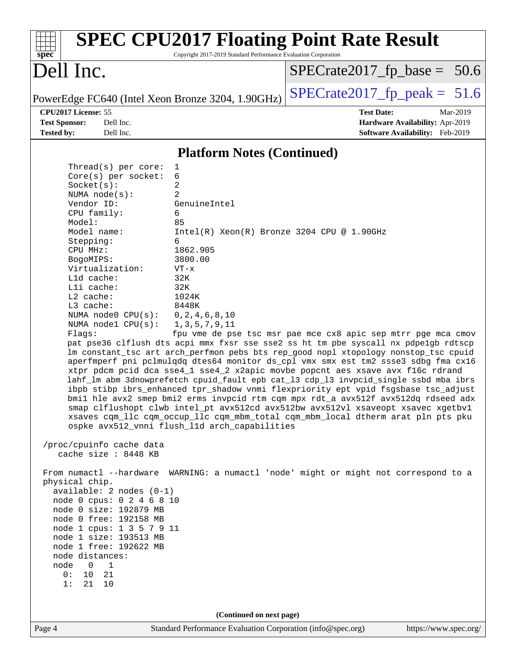| $spec^*$                                                                                                                                                                                                                                                                                                                                                                                                                                                                                                                                                                                                                                                              | Copyright 2017-2019 Standard Performance Evaluation Corporation                                                                                                                                                                                              | <b>SPEC CPU2017 Floating Point Rate Result</b>                                                                                                                                                                                                                                                                                                                                                                                                                                                                                                                                                                                                                                                                                                                                                                                                                                                                                                          |
|-----------------------------------------------------------------------------------------------------------------------------------------------------------------------------------------------------------------------------------------------------------------------------------------------------------------------------------------------------------------------------------------------------------------------------------------------------------------------------------------------------------------------------------------------------------------------------------------------------------------------------------------------------------------------|--------------------------------------------------------------------------------------------------------------------------------------------------------------------------------------------------------------------------------------------------------------|---------------------------------------------------------------------------------------------------------------------------------------------------------------------------------------------------------------------------------------------------------------------------------------------------------------------------------------------------------------------------------------------------------------------------------------------------------------------------------------------------------------------------------------------------------------------------------------------------------------------------------------------------------------------------------------------------------------------------------------------------------------------------------------------------------------------------------------------------------------------------------------------------------------------------------------------------------|
| Dell Inc.                                                                                                                                                                                                                                                                                                                                                                                                                                                                                                                                                                                                                                                             |                                                                                                                                                                                                                                                              | $SPECrate2017_fp\_base = 50.6$                                                                                                                                                                                                                                                                                                                                                                                                                                                                                                                                                                                                                                                                                                                                                                                                                                                                                                                          |
| PowerEdge FC640 (Intel Xeon Bronze 3204, 1.90GHz)                                                                                                                                                                                                                                                                                                                                                                                                                                                                                                                                                                                                                     |                                                                                                                                                                                                                                                              | $SPECrate2017_fp\_peak = 51.6$                                                                                                                                                                                                                                                                                                                                                                                                                                                                                                                                                                                                                                                                                                                                                                                                                                                                                                                          |
| CPU2017 License: 55<br><b>Test Sponsor:</b><br>Dell Inc.<br><b>Tested by:</b><br>Dell Inc.                                                                                                                                                                                                                                                                                                                                                                                                                                                                                                                                                                            |                                                                                                                                                                                                                                                              | <b>Test Date:</b><br>Mar-2019<br>Hardware Availability: Apr-2019<br>Software Availability: Feb-2019                                                                                                                                                                                                                                                                                                                                                                                                                                                                                                                                                                                                                                                                                                                                                                                                                                                     |
|                                                                                                                                                                                                                                                                                                                                                                                                                                                                                                                                                                                                                                                                       | <b>Platform Notes (Continued)</b>                                                                                                                                                                                                                            |                                                                                                                                                                                                                                                                                                                                                                                                                                                                                                                                                                                                                                                                                                                                                                                                                                                                                                                                                         |
| Thread( $s$ ) per core:<br>Core(s) per socket:<br>Socket(s):<br>NUMA node(s):<br>Vendor ID:<br>CPU family:<br>Model:<br>Model name:<br>Stepping:<br>CPU MHz:<br>BogoMIPS:<br>Virtualization:<br>L1d cache:<br>Lli cache:<br>$L2$ cache:<br>L3 cache:<br>NUMA node0 CPU(s):<br>NUMA $node1$ $CPU(s):$<br>Flags:<br>/proc/cpuinfo cache data<br>cache size : 8448 KB<br>physical chip.<br>$available: 2 nodes (0-1)$<br>node 0 cpus: 0 2 4 6 8 10<br>node 0 size: 192879 MB<br>node 0 free: 192158 MB<br>node 1 cpus: 1 3 5 7 9 11<br>node 1 size: 193513 MB<br>node 1 free: 192622 MB<br>node distances:<br>$\Omega$<br>1<br>node<br>10<br>0 :<br>21<br>1:<br>21<br>10 | 1<br>6<br>2<br>2<br>GenuineIntel<br>6<br>85<br>Intel(R) Xeon(R) Bronze 3204 CPU @ 1.90GHz<br>6<br>1862.905<br>3800.00<br>$VT - x$<br>32K<br>32K<br>1024K<br>8448K<br>0, 2, 4, 6, 8, 10<br>1, 3, 5, 7, 9, 11<br>ospke avx512_vnni flush_l1d arch_capabilities | fpu vme de pse tsc msr pae mce cx8 apic sep mtrr pge mca cmov<br>pat pse36 clflush dts acpi mmx fxsr sse sse2 ss ht tm pbe syscall nx pdpelgb rdtscp<br>lm constant_tsc art arch_perfmon pebs bts rep_good nopl xtopology nonstop_tsc cpuid<br>aperfmperf pni pclmulqdq dtes64 monitor ds_cpl vmx smx est tm2 ssse3 sdbg fma cx16<br>xtpr pdcm pcid dca sse4_1 sse4_2 x2apic movbe popcnt aes xsave avx f16c rdrand<br>lahf_lm abm 3dnowprefetch cpuid_fault epb cat_13 cdp_13 invpcid_single ssbd mba ibrs<br>ibpb stibp ibrs_enhanced tpr_shadow vnmi flexpriority ept vpid fsgsbase tsc_adjust<br>bmil hle avx2 smep bmi2 erms invpcid rtm cqm mpx rdt_a avx512f avx512dq rdseed adx<br>smap clflushopt clwb intel_pt avx512cd avx512bw avx512vl xsaveopt xsavec xgetbv1<br>xsaves cqm_llc cqm_occup_llc cqm_mbm_total cqm_mbm_local dtherm arat pln pts pku<br>From numactl --hardware WARNING: a numactl 'node' might or might not correspond to a |
| Page 4                                                                                                                                                                                                                                                                                                                                                                                                                                                                                                                                                                                                                                                                | (Continued on next page)<br>Standard Performance Evaluation Corporation (info@spec.org)                                                                                                                                                                      | https://www.spec.org/                                                                                                                                                                                                                                                                                                                                                                                                                                                                                                                                                                                                                                                                                                                                                                                                                                                                                                                                   |
|                                                                                                                                                                                                                                                                                                                                                                                                                                                                                                                                                                                                                                                                       |                                                                                                                                                                                                                                                              |                                                                                                                                                                                                                                                                                                                                                                                                                                                                                                                                                                                                                                                                                                                                                                                                                                                                                                                                                         |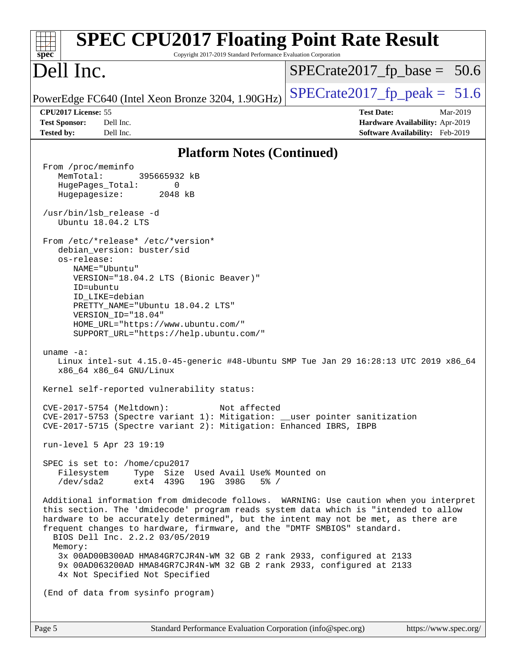| <b>SPEC CPU2017 Floating Point Rate Result</b><br>Copyright 2017-2019 Standard Performance Evaluation Corporation<br>$spec^*$                                                                                                                                                                                                                                                                                                                                                                                                                                                                                                                                                                                                                                                                                                                                                                                                                                                                                                                                                                                                                                                                                                                                                                                                                                                                                                                                                                                                                                                                                                                              |                                                                                                     |
|------------------------------------------------------------------------------------------------------------------------------------------------------------------------------------------------------------------------------------------------------------------------------------------------------------------------------------------------------------------------------------------------------------------------------------------------------------------------------------------------------------------------------------------------------------------------------------------------------------------------------------------------------------------------------------------------------------------------------------------------------------------------------------------------------------------------------------------------------------------------------------------------------------------------------------------------------------------------------------------------------------------------------------------------------------------------------------------------------------------------------------------------------------------------------------------------------------------------------------------------------------------------------------------------------------------------------------------------------------------------------------------------------------------------------------------------------------------------------------------------------------------------------------------------------------------------------------------------------------------------------------------------------------|-----------------------------------------------------------------------------------------------------|
| Dell Inc.                                                                                                                                                                                                                                                                                                                                                                                                                                                                                                                                                                                                                                                                                                                                                                                                                                                                                                                                                                                                                                                                                                                                                                                                                                                                                                                                                                                                                                                                                                                                                                                                                                                  | $SPECrate2017_fp\_base = 50.6$                                                                      |
| PowerEdge FC640 (Intel Xeon Bronze 3204, 1.90GHz)                                                                                                                                                                                                                                                                                                                                                                                                                                                                                                                                                                                                                                                                                                                                                                                                                                                                                                                                                                                                                                                                                                                                                                                                                                                                                                                                                                                                                                                                                                                                                                                                          | $SPECrate2017_fp\_peak = 51.6$                                                                      |
| CPU2017 License: 55<br>Dell Inc.<br><b>Test Sponsor:</b><br>Dell Inc.<br><b>Tested by:</b>                                                                                                                                                                                                                                                                                                                                                                                                                                                                                                                                                                                                                                                                                                                                                                                                                                                                                                                                                                                                                                                                                                                                                                                                                                                                                                                                                                                                                                                                                                                                                                 | <b>Test Date:</b><br>Mar-2019<br>Hardware Availability: Apr-2019<br>Software Availability: Feb-2019 |
| <b>Platform Notes (Continued)</b>                                                                                                                                                                                                                                                                                                                                                                                                                                                                                                                                                                                                                                                                                                                                                                                                                                                                                                                                                                                                                                                                                                                                                                                                                                                                                                                                                                                                                                                                                                                                                                                                                          |                                                                                                     |
| From /proc/meminfo<br>MemTotal:<br>395665932 kB<br>HugePages_Total:<br>0<br>2048 kB<br>Hugepagesize:<br>/usr/bin/lsb release -d<br>Ubuntu 18.04.2 LTS<br>From /etc/*release* /etc/*version*<br>debian_version: buster/sid<br>os-release:<br>NAME="Ubuntu"<br>VERSION="18.04.2 LTS (Bionic Beaver)"<br>ID=ubuntu<br>ID LIKE=debian<br>PRETTY_NAME="Ubuntu 18.04.2 LTS"<br>VERSION_ID="18.04"<br>HOME_URL="https://www.ubuntu.com/"<br>SUPPORT_URL="https://help.ubuntu.com/"<br>uname $-a$ :<br>Linux intel-sut 4.15.0-45-generic #48-Ubuntu SMP Tue Jan 29 16:28:13 UTC 2019 x86_64<br>x86_64 x86_64 GNU/Linux<br>Kernel self-reported vulnerability status:<br>CVE-2017-5754 (Meltdown): Not affected<br>CVE-2017-5753 (Spectre variant 1): Mitigation: __user pointer sanitization<br>CVE-2017-5715 (Spectre variant 2): Mitigation: Enhanced IBRS, IBPB<br>run-level 5 Apr 23 19:19<br>SPEC is set to: /home/cpu2017<br>Filesystem<br>Type Size Used Avail Use% Mounted on<br>/dev/sda2<br>ext4 439G<br>19G 398G<br>$5\%$ /<br>Additional information from dmidecode follows. WARNING: Use caution when you interpret<br>this section. The 'dmidecode' program reads system data which is "intended to allow<br>hardware to be accurately determined", but the intent may not be met, as there are<br>frequent changes to hardware, firmware, and the "DMTF SMBIOS" standard.<br>BIOS Dell Inc. 2.2.2 03/05/2019<br>Memory:<br>3x 00AD00B300AD HMA84GR7CJR4N-WM 32 GB 2 rank 2933, configured at 2133<br>9x 00AD063200AD HMA84GR7CJR4N-WM 32 GB 2 rank 2933, configured at 2133<br>4x Not Specified Not Specified<br>(End of data from sysinfo program) |                                                                                                     |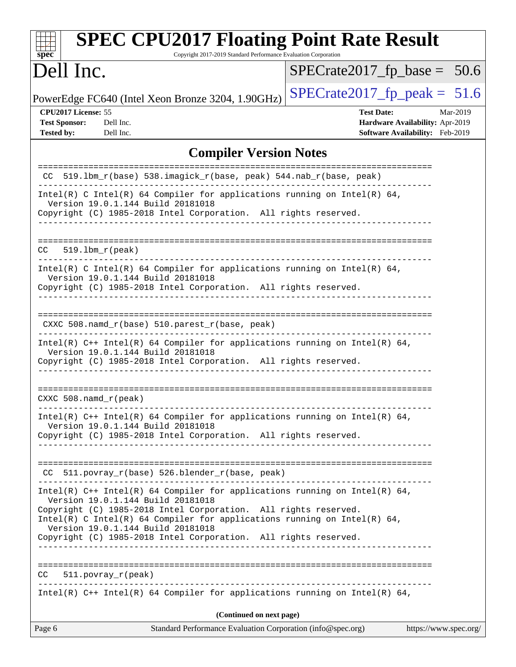| <b>SPEC CPU2017 Floating Point Rate Result</b><br>$sp\overline{ec}$<br>Copyright 2017-2019 Standard Performance Evaluation Corporation                                                                                                                                                              |                                                                                                     |
|-----------------------------------------------------------------------------------------------------------------------------------------------------------------------------------------------------------------------------------------------------------------------------------------------------|-----------------------------------------------------------------------------------------------------|
| Dell Inc.                                                                                                                                                                                                                                                                                           | $SPECrate2017_fp\_base = 50.6$                                                                      |
| PowerEdge FC640 (Intel Xeon Bronze 3204, 1.90GHz)                                                                                                                                                                                                                                                   | $SPECrate2017_fp\_peak = 51.6$                                                                      |
| CPU2017 License: 55<br><b>Test Sponsor:</b><br>Dell Inc.<br><b>Tested by:</b><br>Dell Inc.                                                                                                                                                                                                          | <b>Test Date:</b><br>Mar-2019<br>Hardware Availability: Apr-2019<br>Software Availability: Feb-2019 |
| <b>Compiler Version Notes</b>                                                                                                                                                                                                                                                                       |                                                                                                     |
| CC 519.1bm_r(base) 538.imagick_r(base, peak) 544.nab_r(base, peak)                                                                                                                                                                                                                                  |                                                                                                     |
| Intel(R) C Intel(R) 64 Compiler for applications running on Intel(R) 64,<br>Version 19.0.1.144 Build 20181018<br>Copyright (C) 1985-2018 Intel Corporation. All rights reserved.                                                                                                                    |                                                                                                     |
| $519.1bm_r(peak)$<br>CC.                                                                                                                                                                                                                                                                            |                                                                                                     |
| Intel(R) C Intel(R) 64 Compiler for applications running on Intel(R) 64,<br>Version 19.0.1.144 Build 20181018<br>Copyright (C) 1985-2018 Intel Corporation. All rights reserved.                                                                                                                    |                                                                                                     |
| $CXXC 508.namd_r(base) 510.parest_r(base, peak)$<br>Intel(R) $C++$ Intel(R) 64 Compiler for applications running on Intel(R) 64,                                                                                                                                                                    |                                                                                                     |
| Version 19.0.1.144 Build 20181018<br>Copyright (C) 1985-2018 Intel Corporation. All rights reserved.                                                                                                                                                                                                |                                                                                                     |
| $CXXC 508.namd_r (peak)$                                                                                                                                                                                                                                                                            |                                                                                                     |
| Intel(R) $C++$ Intel(R) 64 Compiler for applications running on Intel(R) 64,<br>Version 19.0.1.144 Build 20181018<br>Copyright (C) 1985-2018 Intel Corporation. All rights reserved.<br>__________________                                                                                          |                                                                                                     |
|                                                                                                                                                                                                                                                                                                     |                                                                                                     |
| CC 511.povray_r(base) 526.blender_r(base, peak)                                                                                                                                                                                                                                                     |                                                                                                     |
| Intel(R) C++ Intel(R) 64 Compiler for applications running on Intel(R) 64,<br>Version 19.0.1.144 Build 20181018<br>Copyright (C) 1985-2018 Intel Corporation. All rights reserved.<br>Intel(R) C Intel(R) 64 Compiler for applications running on Intel(R) 64,<br>Version 19.0.1.144 Build 20181018 |                                                                                                     |
| Copyright (C) 1985-2018 Intel Corporation. All rights reserved.                                                                                                                                                                                                                                     |                                                                                                     |
| $CC = 511. povray_r (peak)$                                                                                                                                                                                                                                                                         |                                                                                                     |
| Intel(R) $C++$ Intel(R) 64 Compiler for applications running on Intel(R) 64,                                                                                                                                                                                                                        |                                                                                                     |
| (Continued on next page)<br>Standard Performance Evaluation Corporation (info@spec.org)<br>Page 6                                                                                                                                                                                                   | https://www.spec.org/                                                                               |
|                                                                                                                                                                                                                                                                                                     |                                                                                                     |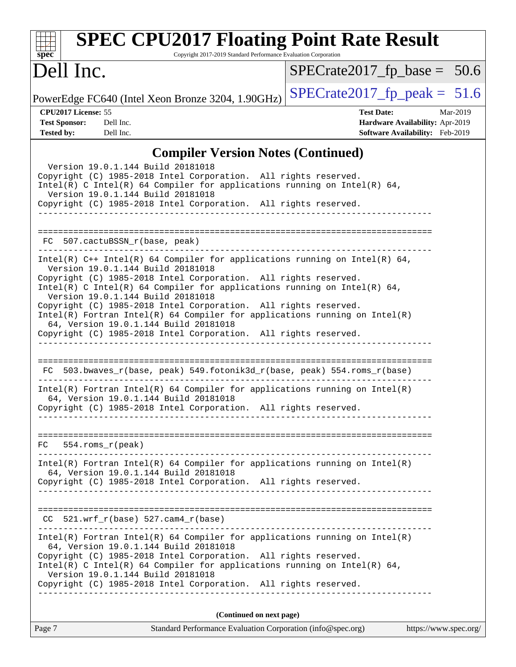| <b>SPEC CPU2017 Floating Point Rate Result</b><br>Copyright 2017-2019 Standard Performance Evaluation Corporation<br>$spec^*$                                                                                                                                                                                                                                                                                                                                                                                                                                        |                                                                                                     |
|----------------------------------------------------------------------------------------------------------------------------------------------------------------------------------------------------------------------------------------------------------------------------------------------------------------------------------------------------------------------------------------------------------------------------------------------------------------------------------------------------------------------------------------------------------------------|-----------------------------------------------------------------------------------------------------|
| Dell Inc.                                                                                                                                                                                                                                                                                                                                                                                                                                                                                                                                                            | $SPECrate2017_fp\_base = 50.6$                                                                      |
| PowerEdge FC640 (Intel Xeon Bronze 3204, 1.90GHz)                                                                                                                                                                                                                                                                                                                                                                                                                                                                                                                    | $SPECrate2017_fp\_peak = 51.6$                                                                      |
| CPU2017 License: 55<br><b>Test Sponsor:</b><br>Dell Inc.<br><b>Tested by:</b><br>Dell Inc.                                                                                                                                                                                                                                                                                                                                                                                                                                                                           | <b>Test Date:</b><br>Mar-2019<br>Hardware Availability: Apr-2019<br>Software Availability: Feb-2019 |
| <b>Compiler Version Notes (Continued)</b>                                                                                                                                                                                                                                                                                                                                                                                                                                                                                                                            |                                                                                                     |
| Version 19.0.1.144 Build 20181018<br>Copyright (C) 1985-2018 Intel Corporation. All rights reserved.<br>Intel(R) C Intel(R) 64 Compiler for applications running on Intel(R) 64,<br>Version 19.0.1.144 Build 20181018<br>Copyright (C) 1985-2018 Intel Corporation. All rights reserved.                                                                                                                                                                                                                                                                             |                                                                                                     |
| FC 507.cactuBSSN_r(base, peak)                                                                                                                                                                                                                                                                                                                                                                                                                                                                                                                                       |                                                                                                     |
| Intel(R) $C++$ Intel(R) 64 Compiler for applications running on Intel(R) 64,<br>Version 19.0.1.144 Build 20181018<br>Copyright (C) 1985-2018 Intel Corporation. All rights reserved.<br>Intel(R) C Intel(R) 64 Compiler for applications running on Intel(R) 64,<br>Version 19.0.1.144 Build 20181018<br>Copyright (C) 1985-2018 Intel Corporation. All rights reserved.<br>$Intel(R)$ Fortran Intel(R) 64 Compiler for applications running on Intel(R)<br>64, Version 19.0.1.144 Build 20181018<br>Copyright (C) 1985-2018 Intel Corporation. All rights reserved. |                                                                                                     |
| FC 503.bwaves_r(base, peak) 549.fotonik3d_r(base, peak) 554.roms_r(base)                                                                                                                                                                                                                                                                                                                                                                                                                                                                                             |                                                                                                     |
| $Intel(R)$ Fortran Intel(R) 64 Compiler for applications running on Intel(R)<br>64, Version 19.0.1.144 Build 20181018<br>Copyright (C) 1985-2018 Intel Corporation. All rights reserved.                                                                                                                                                                                                                                                                                                                                                                             |                                                                                                     |
| $FC$ 554. roms $r$ (peak)                                                                                                                                                                                                                                                                                                                                                                                                                                                                                                                                            |                                                                                                     |
| $Intel(R)$ Fortran Intel(R) 64 Compiler for applications running on Intel(R)<br>64, Version 19.0.1.144 Build 20181018<br>Copyright (C) 1985-2018 Intel Corporation. All rights reserved.                                                                                                                                                                                                                                                                                                                                                                             |                                                                                                     |
| $CC$ 521.wrf_r(base) 527.cam4_r(base)                                                                                                                                                                                                                                                                                                                                                                                                                                                                                                                                |                                                                                                     |
| $Intel(R)$ Fortran Intel(R) 64 Compiler for applications running on Intel(R)<br>64, Version 19.0.1.144 Build 20181018<br>Copyright (C) 1985-2018 Intel Corporation. All rights reserved.<br>Intel(R) C Intel(R) 64 Compiler for applications running on Intel(R) 64,<br>Version 19.0.1.144 Build 20181018<br>Copyright (C) 1985-2018 Intel Corporation. All rights reserved.                                                                                                                                                                                         |                                                                                                     |
| (Continued on next page)                                                                                                                                                                                                                                                                                                                                                                                                                                                                                                                                             |                                                                                                     |
| Page 7<br>Standard Performance Evaluation Corporation (info@spec.org)                                                                                                                                                                                                                                                                                                                                                                                                                                                                                                | https://www.spec.org/                                                                               |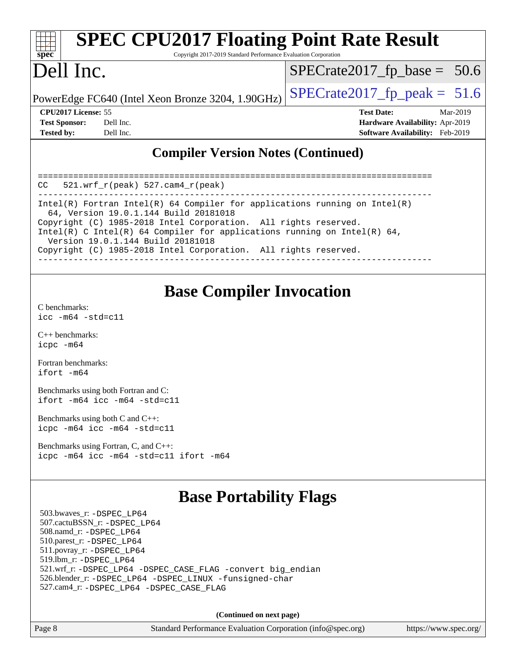| <b>SPEC CPU2017 Floating Point Rate Result</b><br>spec<br>Copyright 2017-2019 Standard Performance Evaluation Corporation |                                                   |                                                                  |  |  |  |
|---------------------------------------------------------------------------------------------------------------------------|---------------------------------------------------|------------------------------------------------------------------|--|--|--|
| Dell Inc.                                                                                                                 |                                                   | $SPECrate2017_fp\_base = 50.6$                                   |  |  |  |
|                                                                                                                           | PowerEdge FC640 (Intel Xeon Bronze 3204, 1.90GHz) | $SPECrate2017fp peak = 51.6$                                     |  |  |  |
| <b>CPU2017 License: 55</b>                                                                                                |                                                   | <b>Test Date:</b><br>Mar-2019                                    |  |  |  |
| <b>Test Sponsor:</b>                                                                                                      | Dell Inc.                                         | Hardware Availability: Apr-2019                                  |  |  |  |
| <b>Tested by:</b>                                                                                                         | Dell Inc.                                         | <b>Software Availability:</b> Feb-2019                           |  |  |  |
|                                                                                                                           |                                                   | $\mathbf{M}$ $\mathbf{M}$ $\mathbf{M}$ $\mathbf{M}$ $\mathbf{M}$ |  |  |  |

### **[Compiler Version Notes \(Continued\)](http://www.spec.org/auto/cpu2017/Docs/result-fields.html#CompilerVersionNotes)**

| 521.wrf $r(\text{peak})$ 527.cam4 $r(\text{peak})$<br>CC                                                                                                                                                                                                                                                                                                                   |
|----------------------------------------------------------------------------------------------------------------------------------------------------------------------------------------------------------------------------------------------------------------------------------------------------------------------------------------------------------------------------|
| Intel(R) Fortran Intel(R) 64 Compiler for applications running on Intel(R)<br>64, Version 19.0.1.144 Build 20181018<br>Copyright (C) 1985-2018 Intel Corporation. All rights reserved.<br>Intel(R) C Intel(R) 64 Compiler for applications running on Intel(R) 64,<br>Version 19.0.1.144 Build 20181018<br>Copyright (C) 1985-2018 Intel Corporation. All rights reserved. |

## **[Base Compiler Invocation](http://www.spec.org/auto/cpu2017/Docs/result-fields.html#BaseCompilerInvocation)**

[C benchmarks](http://www.spec.org/auto/cpu2017/Docs/result-fields.html#Cbenchmarks): [icc -m64 -std=c11](http://www.spec.org/cpu2017/results/res2019q2/cpu2017-20190527-14548.flags.html#user_CCbase_intel_icc_64bit_c11_33ee0cdaae7deeeab2a9725423ba97205ce30f63b9926c2519791662299b76a0318f32ddfffdc46587804de3178b4f9328c46fa7c2b0cd779d7a61945c91cd35)

[C++ benchmarks:](http://www.spec.org/auto/cpu2017/Docs/result-fields.html#CXXbenchmarks) [icpc -m64](http://www.spec.org/cpu2017/results/res2019q2/cpu2017-20190527-14548.flags.html#user_CXXbase_intel_icpc_64bit_4ecb2543ae3f1412ef961e0650ca070fec7b7afdcd6ed48761b84423119d1bf6bdf5cad15b44d48e7256388bc77273b966e5eb805aefd121eb22e9299b2ec9d9)

[Fortran benchmarks](http://www.spec.org/auto/cpu2017/Docs/result-fields.html#Fortranbenchmarks): [ifort -m64](http://www.spec.org/cpu2017/results/res2019q2/cpu2017-20190527-14548.flags.html#user_FCbase_intel_ifort_64bit_24f2bb282fbaeffd6157abe4f878425411749daecae9a33200eee2bee2fe76f3b89351d69a8130dd5949958ce389cf37ff59a95e7a40d588e8d3a57e0c3fd751)

[Benchmarks using both Fortran and C](http://www.spec.org/auto/cpu2017/Docs/result-fields.html#BenchmarksusingbothFortranandC): [ifort -m64](http://www.spec.org/cpu2017/results/res2019q2/cpu2017-20190527-14548.flags.html#user_CC_FCbase_intel_ifort_64bit_24f2bb282fbaeffd6157abe4f878425411749daecae9a33200eee2bee2fe76f3b89351d69a8130dd5949958ce389cf37ff59a95e7a40d588e8d3a57e0c3fd751) [icc -m64 -std=c11](http://www.spec.org/cpu2017/results/res2019q2/cpu2017-20190527-14548.flags.html#user_CC_FCbase_intel_icc_64bit_c11_33ee0cdaae7deeeab2a9725423ba97205ce30f63b9926c2519791662299b76a0318f32ddfffdc46587804de3178b4f9328c46fa7c2b0cd779d7a61945c91cd35)

[Benchmarks using both C and C++](http://www.spec.org/auto/cpu2017/Docs/result-fields.html#BenchmarksusingbothCandCXX): [icpc -m64](http://www.spec.org/cpu2017/results/res2019q2/cpu2017-20190527-14548.flags.html#user_CC_CXXbase_intel_icpc_64bit_4ecb2543ae3f1412ef961e0650ca070fec7b7afdcd6ed48761b84423119d1bf6bdf5cad15b44d48e7256388bc77273b966e5eb805aefd121eb22e9299b2ec9d9) [icc -m64 -std=c11](http://www.spec.org/cpu2017/results/res2019q2/cpu2017-20190527-14548.flags.html#user_CC_CXXbase_intel_icc_64bit_c11_33ee0cdaae7deeeab2a9725423ba97205ce30f63b9926c2519791662299b76a0318f32ddfffdc46587804de3178b4f9328c46fa7c2b0cd779d7a61945c91cd35)

[Benchmarks using Fortran, C, and C++:](http://www.spec.org/auto/cpu2017/Docs/result-fields.html#BenchmarksusingFortranCandCXX) [icpc -m64](http://www.spec.org/cpu2017/results/res2019q2/cpu2017-20190527-14548.flags.html#user_CC_CXX_FCbase_intel_icpc_64bit_4ecb2543ae3f1412ef961e0650ca070fec7b7afdcd6ed48761b84423119d1bf6bdf5cad15b44d48e7256388bc77273b966e5eb805aefd121eb22e9299b2ec9d9) [icc -m64 -std=c11](http://www.spec.org/cpu2017/results/res2019q2/cpu2017-20190527-14548.flags.html#user_CC_CXX_FCbase_intel_icc_64bit_c11_33ee0cdaae7deeeab2a9725423ba97205ce30f63b9926c2519791662299b76a0318f32ddfffdc46587804de3178b4f9328c46fa7c2b0cd779d7a61945c91cd35) [ifort -m64](http://www.spec.org/cpu2017/results/res2019q2/cpu2017-20190527-14548.flags.html#user_CC_CXX_FCbase_intel_ifort_64bit_24f2bb282fbaeffd6157abe4f878425411749daecae9a33200eee2bee2fe76f3b89351d69a8130dd5949958ce389cf37ff59a95e7a40d588e8d3a57e0c3fd751)

## **[Base Portability Flags](http://www.spec.org/auto/cpu2017/Docs/result-fields.html#BasePortabilityFlags)**

 503.bwaves\_r: [-DSPEC\\_LP64](http://www.spec.org/cpu2017/results/res2019q2/cpu2017-20190527-14548.flags.html#suite_basePORTABILITY503_bwaves_r_DSPEC_LP64) 507.cactuBSSN\_r: [-DSPEC\\_LP64](http://www.spec.org/cpu2017/results/res2019q2/cpu2017-20190527-14548.flags.html#suite_basePORTABILITY507_cactuBSSN_r_DSPEC_LP64) 508.namd\_r: [-DSPEC\\_LP64](http://www.spec.org/cpu2017/results/res2019q2/cpu2017-20190527-14548.flags.html#suite_basePORTABILITY508_namd_r_DSPEC_LP64) 510.parest\_r: [-DSPEC\\_LP64](http://www.spec.org/cpu2017/results/res2019q2/cpu2017-20190527-14548.flags.html#suite_basePORTABILITY510_parest_r_DSPEC_LP64) 511.povray\_r: [-DSPEC\\_LP64](http://www.spec.org/cpu2017/results/res2019q2/cpu2017-20190527-14548.flags.html#suite_basePORTABILITY511_povray_r_DSPEC_LP64) 519.lbm\_r: [-DSPEC\\_LP64](http://www.spec.org/cpu2017/results/res2019q2/cpu2017-20190527-14548.flags.html#suite_basePORTABILITY519_lbm_r_DSPEC_LP64) 521.wrf\_r: [-DSPEC\\_LP64](http://www.spec.org/cpu2017/results/res2019q2/cpu2017-20190527-14548.flags.html#suite_basePORTABILITY521_wrf_r_DSPEC_LP64) [-DSPEC\\_CASE\\_FLAG](http://www.spec.org/cpu2017/results/res2019q2/cpu2017-20190527-14548.flags.html#b521.wrf_r_baseCPORTABILITY_DSPEC_CASE_FLAG) [-convert big\\_endian](http://www.spec.org/cpu2017/results/res2019q2/cpu2017-20190527-14548.flags.html#user_baseFPORTABILITY521_wrf_r_convert_big_endian_c3194028bc08c63ac5d04de18c48ce6d347e4e562e8892b8bdbdc0214820426deb8554edfa529a3fb25a586e65a3d812c835984020483e7e73212c4d31a38223) 526.blender\_r: [-DSPEC\\_LP64](http://www.spec.org/cpu2017/results/res2019q2/cpu2017-20190527-14548.flags.html#suite_basePORTABILITY526_blender_r_DSPEC_LP64) [-DSPEC\\_LINUX](http://www.spec.org/cpu2017/results/res2019q2/cpu2017-20190527-14548.flags.html#b526.blender_r_baseCPORTABILITY_DSPEC_LINUX) [-funsigned-char](http://www.spec.org/cpu2017/results/res2019q2/cpu2017-20190527-14548.flags.html#user_baseCPORTABILITY526_blender_r_force_uchar_40c60f00ab013830e2dd6774aeded3ff59883ba5a1fc5fc14077f794d777847726e2a5858cbc7672e36e1b067e7e5c1d9a74f7176df07886a243d7cc18edfe67) 527.cam4\_r: [-DSPEC\\_LP64](http://www.spec.org/cpu2017/results/res2019q2/cpu2017-20190527-14548.flags.html#suite_basePORTABILITY527_cam4_r_DSPEC_LP64) [-DSPEC\\_CASE\\_FLAG](http://www.spec.org/cpu2017/results/res2019q2/cpu2017-20190527-14548.flags.html#b527.cam4_r_baseCPORTABILITY_DSPEC_CASE_FLAG)

**(Continued on next page)**

Page 8 Standard Performance Evaluation Corporation [\(info@spec.org\)](mailto:info@spec.org) <https://www.spec.org/>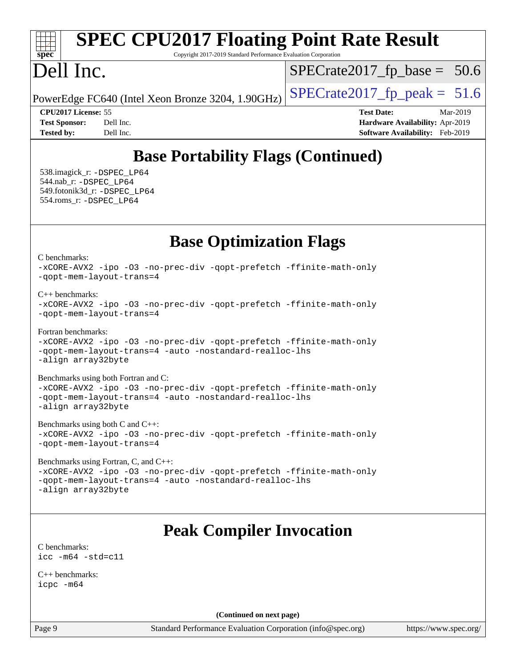#### **[spec](http://www.spec.org/) [SPEC CPU2017 Floating Point Rate Result](http://www.spec.org/auto/cpu2017/Docs/result-fields.html#SPECCPU2017FloatingPointRateResult)** Copyright 2017-2019 Standard Performance Evaluation Corporation Dell Inc. PowerEdge FC640 (Intel Xeon Bronze 3204, 1.90GHz)  $\left|$  [SPECrate2017\\_fp\\_peak =](http://www.spec.org/auto/cpu2017/Docs/result-fields.html#SPECrate2017fppeak) 51.6  $SPECTate2017_fp\_base = 50.6$ **[CPU2017 License:](http://www.spec.org/auto/cpu2017/Docs/result-fields.html#CPU2017License)** 55 **[Test Date:](http://www.spec.org/auto/cpu2017/Docs/result-fields.html#TestDate)** Mar-2019 **[Test Sponsor:](http://www.spec.org/auto/cpu2017/Docs/result-fields.html#TestSponsor)** Dell Inc. **[Hardware Availability:](http://www.spec.org/auto/cpu2017/Docs/result-fields.html#HardwareAvailability)** Apr-2019 **[Tested by:](http://www.spec.org/auto/cpu2017/Docs/result-fields.html#Testedby)** Dell Inc. **[Software Availability:](http://www.spec.org/auto/cpu2017/Docs/result-fields.html#SoftwareAvailability)** Feb-2019 **[Base Portability Flags \(Continued\)](http://www.spec.org/auto/cpu2017/Docs/result-fields.html#BasePortabilityFlags)** 538.imagick\_r: [-DSPEC\\_LP64](http://www.spec.org/cpu2017/results/res2019q2/cpu2017-20190527-14548.flags.html#suite_basePORTABILITY538_imagick_r_DSPEC_LP64) 544.nab\_r: [-DSPEC\\_LP64](http://www.spec.org/cpu2017/results/res2019q2/cpu2017-20190527-14548.flags.html#suite_basePORTABILITY544_nab_r_DSPEC_LP64) 549.fotonik3d\_r: [-DSPEC\\_LP64](http://www.spec.org/cpu2017/results/res2019q2/cpu2017-20190527-14548.flags.html#suite_basePORTABILITY549_fotonik3d_r_DSPEC_LP64) 554.roms\_r: [-DSPEC\\_LP64](http://www.spec.org/cpu2017/results/res2019q2/cpu2017-20190527-14548.flags.html#suite_basePORTABILITY554_roms_r_DSPEC_LP64) **[Base Optimization Flags](http://www.spec.org/auto/cpu2017/Docs/result-fields.html#BaseOptimizationFlags)** [C benchmarks](http://www.spec.org/auto/cpu2017/Docs/result-fields.html#Cbenchmarks): [-xCORE-AVX2](http://www.spec.org/cpu2017/results/res2019q2/cpu2017-20190527-14548.flags.html#user_CCbase_f-xCORE-AVX2) [-ipo](http://www.spec.org/cpu2017/results/res2019q2/cpu2017-20190527-14548.flags.html#user_CCbase_f-ipo) [-O3](http://www.spec.org/cpu2017/results/res2019q2/cpu2017-20190527-14548.flags.html#user_CCbase_f-O3) [-no-prec-div](http://www.spec.org/cpu2017/results/res2019q2/cpu2017-20190527-14548.flags.html#user_CCbase_f-no-prec-div) [-qopt-prefetch](http://www.spec.org/cpu2017/results/res2019q2/cpu2017-20190527-14548.flags.html#user_CCbase_f-qopt-prefetch) [-ffinite-math-only](http://www.spec.org/cpu2017/results/res2019q2/cpu2017-20190527-14548.flags.html#user_CCbase_f_finite_math_only_cb91587bd2077682c4b38af759c288ed7c732db004271a9512da14a4f8007909a5f1427ecbf1a0fb78ff2a814402c6114ac565ca162485bbcae155b5e4258871) [-qopt-mem-layout-trans=4](http://www.spec.org/cpu2017/results/res2019q2/cpu2017-20190527-14548.flags.html#user_CCbase_f-qopt-mem-layout-trans_fa39e755916c150a61361b7846f310bcdf6f04e385ef281cadf3647acec3f0ae266d1a1d22d972a7087a248fd4e6ca390a3634700869573d231a252c784941a8) [C++ benchmarks:](http://www.spec.org/auto/cpu2017/Docs/result-fields.html#CXXbenchmarks) [-xCORE-AVX2](http://www.spec.org/cpu2017/results/res2019q2/cpu2017-20190527-14548.flags.html#user_CXXbase_f-xCORE-AVX2) [-ipo](http://www.spec.org/cpu2017/results/res2019q2/cpu2017-20190527-14548.flags.html#user_CXXbase_f-ipo) [-O3](http://www.spec.org/cpu2017/results/res2019q2/cpu2017-20190527-14548.flags.html#user_CXXbase_f-O3) [-no-prec-div](http://www.spec.org/cpu2017/results/res2019q2/cpu2017-20190527-14548.flags.html#user_CXXbase_f-no-prec-div) [-qopt-prefetch](http://www.spec.org/cpu2017/results/res2019q2/cpu2017-20190527-14548.flags.html#user_CXXbase_f-qopt-prefetch) [-ffinite-math-only](http://www.spec.org/cpu2017/results/res2019q2/cpu2017-20190527-14548.flags.html#user_CXXbase_f_finite_math_only_cb91587bd2077682c4b38af759c288ed7c732db004271a9512da14a4f8007909a5f1427ecbf1a0fb78ff2a814402c6114ac565ca162485bbcae155b5e4258871) [-qopt-mem-layout-trans=4](http://www.spec.org/cpu2017/results/res2019q2/cpu2017-20190527-14548.flags.html#user_CXXbase_f-qopt-mem-layout-trans_fa39e755916c150a61361b7846f310bcdf6f04e385ef281cadf3647acec3f0ae266d1a1d22d972a7087a248fd4e6ca390a3634700869573d231a252c784941a8) [Fortran benchmarks](http://www.spec.org/auto/cpu2017/Docs/result-fields.html#Fortranbenchmarks): [-xCORE-AVX2](http://www.spec.org/cpu2017/results/res2019q2/cpu2017-20190527-14548.flags.html#user_FCbase_f-xCORE-AVX2) [-ipo](http://www.spec.org/cpu2017/results/res2019q2/cpu2017-20190527-14548.flags.html#user_FCbase_f-ipo) [-O3](http://www.spec.org/cpu2017/results/res2019q2/cpu2017-20190527-14548.flags.html#user_FCbase_f-O3) [-no-prec-div](http://www.spec.org/cpu2017/results/res2019q2/cpu2017-20190527-14548.flags.html#user_FCbase_f-no-prec-div) [-qopt-prefetch](http://www.spec.org/cpu2017/results/res2019q2/cpu2017-20190527-14548.flags.html#user_FCbase_f-qopt-prefetch) [-ffinite-math-only](http://www.spec.org/cpu2017/results/res2019q2/cpu2017-20190527-14548.flags.html#user_FCbase_f_finite_math_only_cb91587bd2077682c4b38af759c288ed7c732db004271a9512da14a4f8007909a5f1427ecbf1a0fb78ff2a814402c6114ac565ca162485bbcae155b5e4258871) [-qopt-mem-layout-trans=4](http://www.spec.org/cpu2017/results/res2019q2/cpu2017-20190527-14548.flags.html#user_FCbase_f-qopt-mem-layout-trans_fa39e755916c150a61361b7846f310bcdf6f04e385ef281cadf3647acec3f0ae266d1a1d22d972a7087a248fd4e6ca390a3634700869573d231a252c784941a8) [-auto](http://www.spec.org/cpu2017/results/res2019q2/cpu2017-20190527-14548.flags.html#user_FCbase_f-auto) [-nostandard-realloc-lhs](http://www.spec.org/cpu2017/results/res2019q2/cpu2017-20190527-14548.flags.html#user_FCbase_f_2003_std_realloc_82b4557e90729c0f113870c07e44d33d6f5a304b4f63d4c15d2d0f1fab99f5daaed73bdb9275d9ae411527f28b936061aa8b9c8f2d63842963b95c9dd6426b8a) [-align array32byte](http://www.spec.org/cpu2017/results/res2019q2/cpu2017-20190527-14548.flags.html#user_FCbase_align_array32byte_b982fe038af199962ba9a80c053b8342c548c85b40b8e86eb3cc33dee0d7986a4af373ac2d51c3f7cf710a18d62fdce2948f201cd044323541f22fc0fffc51b6) [Benchmarks using both Fortran and C](http://www.spec.org/auto/cpu2017/Docs/result-fields.html#BenchmarksusingbothFortranandC): [-xCORE-AVX2](http://www.spec.org/cpu2017/results/res2019q2/cpu2017-20190527-14548.flags.html#user_CC_FCbase_f-xCORE-AVX2) [-ipo](http://www.spec.org/cpu2017/results/res2019q2/cpu2017-20190527-14548.flags.html#user_CC_FCbase_f-ipo) [-O3](http://www.spec.org/cpu2017/results/res2019q2/cpu2017-20190527-14548.flags.html#user_CC_FCbase_f-O3) [-no-prec-div](http://www.spec.org/cpu2017/results/res2019q2/cpu2017-20190527-14548.flags.html#user_CC_FCbase_f-no-prec-div) [-qopt-prefetch](http://www.spec.org/cpu2017/results/res2019q2/cpu2017-20190527-14548.flags.html#user_CC_FCbase_f-qopt-prefetch) [-ffinite-math-only](http://www.spec.org/cpu2017/results/res2019q2/cpu2017-20190527-14548.flags.html#user_CC_FCbase_f_finite_math_only_cb91587bd2077682c4b38af759c288ed7c732db004271a9512da14a4f8007909a5f1427ecbf1a0fb78ff2a814402c6114ac565ca162485bbcae155b5e4258871) [-qopt-mem-layout-trans=4](http://www.spec.org/cpu2017/results/res2019q2/cpu2017-20190527-14548.flags.html#user_CC_FCbase_f-qopt-mem-layout-trans_fa39e755916c150a61361b7846f310bcdf6f04e385ef281cadf3647acec3f0ae266d1a1d22d972a7087a248fd4e6ca390a3634700869573d231a252c784941a8) [-auto](http://www.spec.org/cpu2017/results/res2019q2/cpu2017-20190527-14548.flags.html#user_CC_FCbase_f-auto) [-nostandard-realloc-lhs](http://www.spec.org/cpu2017/results/res2019q2/cpu2017-20190527-14548.flags.html#user_CC_FCbase_f_2003_std_realloc_82b4557e90729c0f113870c07e44d33d6f5a304b4f63d4c15d2d0f1fab99f5daaed73bdb9275d9ae411527f28b936061aa8b9c8f2d63842963b95c9dd6426b8a) [-align array32byte](http://www.spec.org/cpu2017/results/res2019q2/cpu2017-20190527-14548.flags.html#user_CC_FCbase_align_array32byte_b982fe038af199962ba9a80c053b8342c548c85b40b8e86eb3cc33dee0d7986a4af373ac2d51c3f7cf710a18d62fdce2948f201cd044323541f22fc0fffc51b6) [Benchmarks using both C and C++](http://www.spec.org/auto/cpu2017/Docs/result-fields.html#BenchmarksusingbothCandCXX): [-xCORE-AVX2](http://www.spec.org/cpu2017/results/res2019q2/cpu2017-20190527-14548.flags.html#user_CC_CXXbase_f-xCORE-AVX2) [-ipo](http://www.spec.org/cpu2017/results/res2019q2/cpu2017-20190527-14548.flags.html#user_CC_CXXbase_f-ipo) [-O3](http://www.spec.org/cpu2017/results/res2019q2/cpu2017-20190527-14548.flags.html#user_CC_CXXbase_f-O3) [-no-prec-div](http://www.spec.org/cpu2017/results/res2019q2/cpu2017-20190527-14548.flags.html#user_CC_CXXbase_f-no-prec-div) [-qopt-prefetch](http://www.spec.org/cpu2017/results/res2019q2/cpu2017-20190527-14548.flags.html#user_CC_CXXbase_f-qopt-prefetch) [-ffinite-math-only](http://www.spec.org/cpu2017/results/res2019q2/cpu2017-20190527-14548.flags.html#user_CC_CXXbase_f_finite_math_only_cb91587bd2077682c4b38af759c288ed7c732db004271a9512da14a4f8007909a5f1427ecbf1a0fb78ff2a814402c6114ac565ca162485bbcae155b5e4258871) [-qopt-mem-layout-trans=4](http://www.spec.org/cpu2017/results/res2019q2/cpu2017-20190527-14548.flags.html#user_CC_CXXbase_f-qopt-mem-layout-trans_fa39e755916c150a61361b7846f310bcdf6f04e385ef281cadf3647acec3f0ae266d1a1d22d972a7087a248fd4e6ca390a3634700869573d231a252c784941a8)

[Benchmarks using Fortran, C, and C++:](http://www.spec.org/auto/cpu2017/Docs/result-fields.html#BenchmarksusingFortranCandCXX) [-xCORE-AVX2](http://www.spec.org/cpu2017/results/res2019q2/cpu2017-20190527-14548.flags.html#user_CC_CXX_FCbase_f-xCORE-AVX2) [-ipo](http://www.spec.org/cpu2017/results/res2019q2/cpu2017-20190527-14548.flags.html#user_CC_CXX_FCbase_f-ipo) [-O3](http://www.spec.org/cpu2017/results/res2019q2/cpu2017-20190527-14548.flags.html#user_CC_CXX_FCbase_f-O3) [-no-prec-div](http://www.spec.org/cpu2017/results/res2019q2/cpu2017-20190527-14548.flags.html#user_CC_CXX_FCbase_f-no-prec-div) [-qopt-prefetch](http://www.spec.org/cpu2017/results/res2019q2/cpu2017-20190527-14548.flags.html#user_CC_CXX_FCbase_f-qopt-prefetch) [-ffinite-math-only](http://www.spec.org/cpu2017/results/res2019q2/cpu2017-20190527-14548.flags.html#user_CC_CXX_FCbase_f_finite_math_only_cb91587bd2077682c4b38af759c288ed7c732db004271a9512da14a4f8007909a5f1427ecbf1a0fb78ff2a814402c6114ac565ca162485bbcae155b5e4258871) [-qopt-mem-layout-trans=4](http://www.spec.org/cpu2017/results/res2019q2/cpu2017-20190527-14548.flags.html#user_CC_CXX_FCbase_f-qopt-mem-layout-trans_fa39e755916c150a61361b7846f310bcdf6f04e385ef281cadf3647acec3f0ae266d1a1d22d972a7087a248fd4e6ca390a3634700869573d231a252c784941a8) [-auto](http://www.spec.org/cpu2017/results/res2019q2/cpu2017-20190527-14548.flags.html#user_CC_CXX_FCbase_f-auto) [-nostandard-realloc-lhs](http://www.spec.org/cpu2017/results/res2019q2/cpu2017-20190527-14548.flags.html#user_CC_CXX_FCbase_f_2003_std_realloc_82b4557e90729c0f113870c07e44d33d6f5a304b4f63d4c15d2d0f1fab99f5daaed73bdb9275d9ae411527f28b936061aa8b9c8f2d63842963b95c9dd6426b8a) [-align array32byte](http://www.spec.org/cpu2017/results/res2019q2/cpu2017-20190527-14548.flags.html#user_CC_CXX_FCbase_align_array32byte_b982fe038af199962ba9a80c053b8342c548c85b40b8e86eb3cc33dee0d7986a4af373ac2d51c3f7cf710a18d62fdce2948f201cd044323541f22fc0fffc51b6)

# **[Peak Compiler Invocation](http://www.spec.org/auto/cpu2017/Docs/result-fields.html#PeakCompilerInvocation)**

[C benchmarks](http://www.spec.org/auto/cpu2017/Docs/result-fields.html#Cbenchmarks): [icc -m64 -std=c11](http://www.spec.org/cpu2017/results/res2019q2/cpu2017-20190527-14548.flags.html#user_CCpeak_intel_icc_64bit_c11_33ee0cdaae7deeeab2a9725423ba97205ce30f63b9926c2519791662299b76a0318f32ddfffdc46587804de3178b4f9328c46fa7c2b0cd779d7a61945c91cd35)

[C++ benchmarks:](http://www.spec.org/auto/cpu2017/Docs/result-fields.html#CXXbenchmarks) [icpc -m64](http://www.spec.org/cpu2017/results/res2019q2/cpu2017-20190527-14548.flags.html#user_CXXpeak_intel_icpc_64bit_4ecb2543ae3f1412ef961e0650ca070fec7b7afdcd6ed48761b84423119d1bf6bdf5cad15b44d48e7256388bc77273b966e5eb805aefd121eb22e9299b2ec9d9)

**(Continued on next page)**

Page 9 Standard Performance Evaluation Corporation [\(info@spec.org\)](mailto:info@spec.org) <https://www.spec.org/>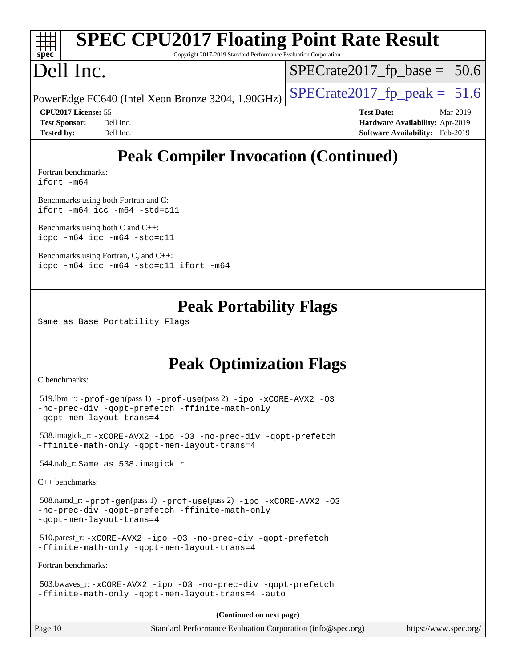|                                                                         |                            | <b>SPEC CPU2017 Floating Point Rate Result</b> |                                |                                        |          |
|-------------------------------------------------------------------------|----------------------------|------------------------------------------------|--------------------------------|----------------------------------------|----------|
| spec<br>Copyright 2017-2019 Standard Performance Evaluation Corporation |                            |                                                |                                |                                        |          |
| Dell Inc.                                                               |                            |                                                | $SPECrate2017_fp\_base = 50.6$ |                                        |          |
| PowerEdge FC640 (Intel Xeon Bronze 3204, 1.90GHz)                       |                            |                                                | $SPECrate2017fp peak = 51.6$   |                                        |          |
|                                                                         | <b>CPU2017 License: 55</b> |                                                | <b>Test Date:</b>              |                                        | Mar-2019 |
| <b>Test Sponsor:</b>                                                    | Dell Inc.                  |                                                |                                | Hardware Availability: Apr-2019        |          |
| <b>Tested by:</b>                                                       | Dell Inc.                  |                                                |                                | <b>Software Availability:</b> Feb-2019 |          |
|                                                                         |                            |                                                |                                |                                        |          |

# **[Peak Compiler Invocation \(Continued\)](http://www.spec.org/auto/cpu2017/Docs/result-fields.html#PeakCompilerInvocation)**

[Fortran benchmarks](http://www.spec.org/auto/cpu2017/Docs/result-fields.html#Fortranbenchmarks): [ifort -m64](http://www.spec.org/cpu2017/results/res2019q2/cpu2017-20190527-14548.flags.html#user_FCpeak_intel_ifort_64bit_24f2bb282fbaeffd6157abe4f878425411749daecae9a33200eee2bee2fe76f3b89351d69a8130dd5949958ce389cf37ff59a95e7a40d588e8d3a57e0c3fd751)

[Benchmarks using both Fortran and C](http://www.spec.org/auto/cpu2017/Docs/result-fields.html#BenchmarksusingbothFortranandC): [ifort -m64](http://www.spec.org/cpu2017/results/res2019q2/cpu2017-20190527-14548.flags.html#user_CC_FCpeak_intel_ifort_64bit_24f2bb282fbaeffd6157abe4f878425411749daecae9a33200eee2bee2fe76f3b89351d69a8130dd5949958ce389cf37ff59a95e7a40d588e8d3a57e0c3fd751) [icc -m64 -std=c11](http://www.spec.org/cpu2017/results/res2019q2/cpu2017-20190527-14548.flags.html#user_CC_FCpeak_intel_icc_64bit_c11_33ee0cdaae7deeeab2a9725423ba97205ce30f63b9926c2519791662299b76a0318f32ddfffdc46587804de3178b4f9328c46fa7c2b0cd779d7a61945c91cd35)

[Benchmarks using both C and C++](http://www.spec.org/auto/cpu2017/Docs/result-fields.html#BenchmarksusingbothCandCXX): [icpc -m64](http://www.spec.org/cpu2017/results/res2019q2/cpu2017-20190527-14548.flags.html#user_CC_CXXpeak_intel_icpc_64bit_4ecb2543ae3f1412ef961e0650ca070fec7b7afdcd6ed48761b84423119d1bf6bdf5cad15b44d48e7256388bc77273b966e5eb805aefd121eb22e9299b2ec9d9) [icc -m64 -std=c11](http://www.spec.org/cpu2017/results/res2019q2/cpu2017-20190527-14548.flags.html#user_CC_CXXpeak_intel_icc_64bit_c11_33ee0cdaae7deeeab2a9725423ba97205ce30f63b9926c2519791662299b76a0318f32ddfffdc46587804de3178b4f9328c46fa7c2b0cd779d7a61945c91cd35)

[Benchmarks using Fortran, C, and C++:](http://www.spec.org/auto/cpu2017/Docs/result-fields.html#BenchmarksusingFortranCandCXX) [icpc -m64](http://www.spec.org/cpu2017/results/res2019q2/cpu2017-20190527-14548.flags.html#user_CC_CXX_FCpeak_intel_icpc_64bit_4ecb2543ae3f1412ef961e0650ca070fec7b7afdcd6ed48761b84423119d1bf6bdf5cad15b44d48e7256388bc77273b966e5eb805aefd121eb22e9299b2ec9d9) [icc -m64 -std=c11](http://www.spec.org/cpu2017/results/res2019q2/cpu2017-20190527-14548.flags.html#user_CC_CXX_FCpeak_intel_icc_64bit_c11_33ee0cdaae7deeeab2a9725423ba97205ce30f63b9926c2519791662299b76a0318f32ddfffdc46587804de3178b4f9328c46fa7c2b0cd779d7a61945c91cd35) [ifort -m64](http://www.spec.org/cpu2017/results/res2019q2/cpu2017-20190527-14548.flags.html#user_CC_CXX_FCpeak_intel_ifort_64bit_24f2bb282fbaeffd6157abe4f878425411749daecae9a33200eee2bee2fe76f3b89351d69a8130dd5949958ce389cf37ff59a95e7a40d588e8d3a57e0c3fd751)

## **[Peak Portability Flags](http://www.spec.org/auto/cpu2017/Docs/result-fields.html#PeakPortabilityFlags)**

Same as Base Portability Flags

# **[Peak Optimization Flags](http://www.spec.org/auto/cpu2017/Docs/result-fields.html#PeakOptimizationFlags)**

[C benchmarks](http://www.spec.org/auto/cpu2017/Docs/result-fields.html#Cbenchmarks):

```
 519.lbm_r: -prof-gen(pass 1) -prof-use(pass 2) -ipo -xCORE-AVX2 -O3
-no-prec-div -qopt-prefetch -ffinite-math-only
-qopt-mem-layout-trans=4
```

```
 538.imagick_r: -xCORE-AVX2 -ipo -O3 -no-prec-div -qopt-prefetch
-ffinite-math-only -qopt-mem-layout-trans=4
```
544.nab\_r: Same as 538.imagick\_r

[C++ benchmarks:](http://www.spec.org/auto/cpu2017/Docs/result-fields.html#CXXbenchmarks)

 508.namd\_r: [-prof-gen](http://www.spec.org/cpu2017/results/res2019q2/cpu2017-20190527-14548.flags.html#user_peakPASS1_CXXFLAGSPASS1_LDFLAGS508_namd_r_prof_gen_5aa4926d6013ddb2a31985c654b3eb18169fc0c6952a63635c234f711e6e63dd76e94ad52365559451ec499a2cdb89e4dc58ba4c67ef54ca681ffbe1461d6b36)(pass 1) [-prof-use](http://www.spec.org/cpu2017/results/res2019q2/cpu2017-20190527-14548.flags.html#user_peakPASS2_CXXFLAGSPASS2_LDFLAGS508_namd_r_prof_use_1a21ceae95f36a2b53c25747139a6c16ca95bd9def2a207b4f0849963b97e94f5260e30a0c64f4bb623698870e679ca08317ef8150905d41bd88c6f78df73f19)(pass 2) [-ipo](http://www.spec.org/cpu2017/results/res2019q2/cpu2017-20190527-14548.flags.html#user_peakPASS1_CXXOPTIMIZEPASS2_CXXOPTIMIZE508_namd_r_f-ipo) [-xCORE-AVX2](http://www.spec.org/cpu2017/results/res2019q2/cpu2017-20190527-14548.flags.html#user_peakPASS2_CXXOPTIMIZE508_namd_r_f-xCORE-AVX2) [-O3](http://www.spec.org/cpu2017/results/res2019q2/cpu2017-20190527-14548.flags.html#user_peakPASS1_CXXOPTIMIZEPASS2_CXXOPTIMIZE508_namd_r_f-O3) [-no-prec-div](http://www.spec.org/cpu2017/results/res2019q2/cpu2017-20190527-14548.flags.html#user_peakPASS1_CXXOPTIMIZEPASS2_CXXOPTIMIZE508_namd_r_f-no-prec-div) [-qopt-prefetch](http://www.spec.org/cpu2017/results/res2019q2/cpu2017-20190527-14548.flags.html#user_peakPASS1_CXXOPTIMIZEPASS2_CXXOPTIMIZE508_namd_r_f-qopt-prefetch) [-ffinite-math-only](http://www.spec.org/cpu2017/results/res2019q2/cpu2017-20190527-14548.flags.html#user_peakPASS1_CXXOPTIMIZEPASS2_CXXOPTIMIZE508_namd_r_f_finite_math_only_cb91587bd2077682c4b38af759c288ed7c732db004271a9512da14a4f8007909a5f1427ecbf1a0fb78ff2a814402c6114ac565ca162485bbcae155b5e4258871) [-qopt-mem-layout-trans=4](http://www.spec.org/cpu2017/results/res2019q2/cpu2017-20190527-14548.flags.html#user_peakPASS1_CXXOPTIMIZEPASS2_CXXOPTIMIZE508_namd_r_f-qopt-mem-layout-trans_fa39e755916c150a61361b7846f310bcdf6f04e385ef281cadf3647acec3f0ae266d1a1d22d972a7087a248fd4e6ca390a3634700869573d231a252c784941a8)

 510.parest\_r: [-xCORE-AVX2](http://www.spec.org/cpu2017/results/res2019q2/cpu2017-20190527-14548.flags.html#user_peakCXXOPTIMIZE510_parest_r_f-xCORE-AVX2) [-ipo](http://www.spec.org/cpu2017/results/res2019q2/cpu2017-20190527-14548.flags.html#user_peakCXXOPTIMIZE510_parest_r_f-ipo) [-O3](http://www.spec.org/cpu2017/results/res2019q2/cpu2017-20190527-14548.flags.html#user_peakCXXOPTIMIZE510_parest_r_f-O3) [-no-prec-div](http://www.spec.org/cpu2017/results/res2019q2/cpu2017-20190527-14548.flags.html#user_peakCXXOPTIMIZE510_parest_r_f-no-prec-div) [-qopt-prefetch](http://www.spec.org/cpu2017/results/res2019q2/cpu2017-20190527-14548.flags.html#user_peakCXXOPTIMIZE510_parest_r_f-qopt-prefetch) [-ffinite-math-only](http://www.spec.org/cpu2017/results/res2019q2/cpu2017-20190527-14548.flags.html#user_peakCXXOPTIMIZE510_parest_r_f_finite_math_only_cb91587bd2077682c4b38af759c288ed7c732db004271a9512da14a4f8007909a5f1427ecbf1a0fb78ff2a814402c6114ac565ca162485bbcae155b5e4258871) [-qopt-mem-layout-trans=4](http://www.spec.org/cpu2017/results/res2019q2/cpu2017-20190527-14548.flags.html#user_peakCXXOPTIMIZE510_parest_r_f-qopt-mem-layout-trans_fa39e755916c150a61361b7846f310bcdf6f04e385ef281cadf3647acec3f0ae266d1a1d22d972a7087a248fd4e6ca390a3634700869573d231a252c784941a8)

[Fortran benchmarks](http://www.spec.org/auto/cpu2017/Docs/result-fields.html#Fortranbenchmarks):

```
 503.bwaves_r: -xCORE-AVX2 -ipo -O3 -no-prec-div -qopt-prefetch
-ffinite-math-only -qopt-mem-layout-trans=4 -auto
```
**(Continued on next page)**